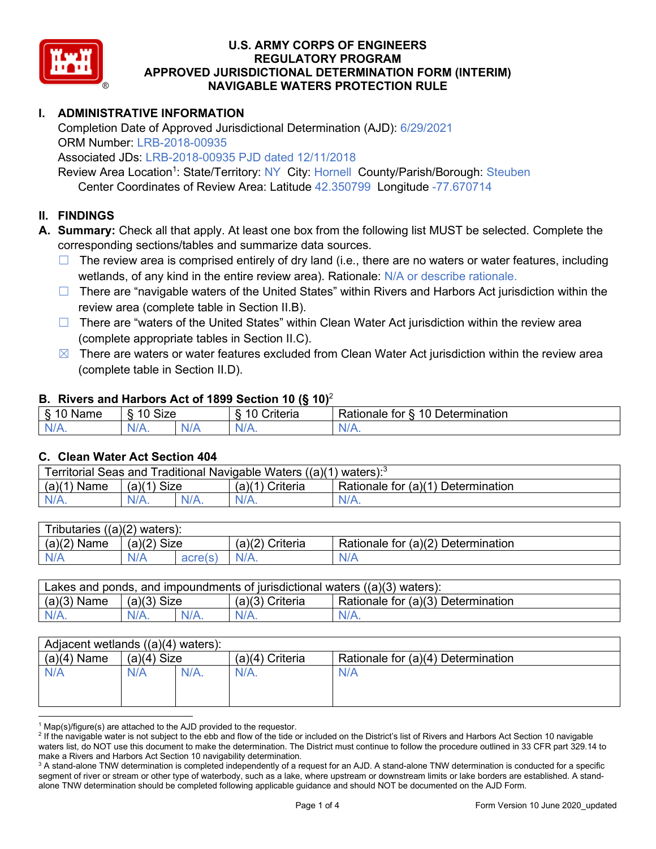

## **I. ADMINISTRATIVE INFORMATION**

Completion Date of Approved Jurisdictional Determination (AJD): 6/29/2021 ORM Number: LRB-2018-00935

Associated JDs: LRB-2018-00935 PJD dated 12/11/2018

Review Area Location<sup>1</sup>: State/Territory: NY City: Hornell County/Parish/Borough: Steuben

Center Coordinates of Review Area: Latitude 42.350799 Longitude -77.670714

### **II. FINDINGS**

**A. Summary:** Check all that apply. At least one box from the following list MUST be selected. Complete the corresponding sections/tables and summarize data sources.

- $\Box$  The review area is comprised entirely of dry land (i.e., there are no waters or water features, including wetlands, of any kind in the entire review area). Rationale: N/A or describe rationale.
- $\Box$  There are "navigable waters of the United States" within Rivers and Harbors Act jurisdiction within the review area (complete table in Section II.B).
- ☐ There are "waters of the United States" within Clean Water Act jurisdiction within the review area (complete appropriate tables in Section II.C).
- $\boxtimes$  There are waters or water features excluded from Clean Water Act jurisdiction within the review area (complete table in Section II.D).

### **B. Rivers and Harbors Act of 1899 Section 10 (§ 10)**<sup>2</sup>

| $\cdot$        |                                            |               |                                          |                                               |  |  |  |
|----------------|--------------------------------------------|---------------|------------------------------------------|-----------------------------------------------|--|--|--|
| $\sim$<br>Name | <b>Size</b><br>$\overline{A}$<br>C)<br>ιv. |               | 10<br>. .<br>$"$ ritorio<br>ונסו וכ<br>u | Determination<br>$\Delta$<br>'ationale<br>tor |  |  |  |
| N/L<br>. .     | NIZ<br>97 / TV .                           | 'NH a<br>vi r |                                          | N/A.                                          |  |  |  |

#### **C. Clean Water Act Section 404**

| Territorial Seas and Traditional Navigable Waters ((a)(1)<br>waters): $3$ |                |  |                   |                                    |  |  |
|---------------------------------------------------------------------------|----------------|--|-------------------|------------------------------------|--|--|
| (a)(1)<br>Name                                                            | Size<br>(a)(1) |  | $(a)(1)$ Criteria | Rationale for (a)(1) Determination |  |  |
|                                                                           | N/A.           |  | $N/A$ .           | $N/A$ .                            |  |  |

| Tributaries $((a)(2)$ waters): |                |         |                    |                                    |  |  |  |
|--------------------------------|----------------|---------|--------------------|------------------------------------|--|--|--|
| (a)(2)<br>Name                 | (a)(2)<br>Size |         | (a)(2)<br>Criteria | Rationale for (a)(2) Determination |  |  |  |
| N/A                            | N/A            | acre(s) | $N/A$ .            | N/A                                |  |  |  |

| Lakes and ponds, and impoundments of jurisdictional waters $((a)(3)$ waters): |               |         |                   |                                    |  |  |
|-------------------------------------------------------------------------------|---------------|---------|-------------------|------------------------------------|--|--|
| $(a)(3)$ Name                                                                 | $(a)(3)$ Size |         | $(a)(3)$ Criteria | Rationale for (a)(3) Determination |  |  |
| $N/A$ .                                                                       |               | $N/A$ . | $N/A$ .           | $N/A$ .                            |  |  |

| Adjacent wetlands $((a)(4)$ waters): |               |         |                   |                                    |  |  |
|--------------------------------------|---------------|---------|-------------------|------------------------------------|--|--|
| $(a)(4)$ Name                        | $(a)(4)$ Size |         | $(a)(4)$ Criteria | Rationale for (a)(4) Determination |  |  |
| N/A                                  | N/A           | $N/A$ . | $N/A$ .           | N/A                                |  |  |
|                                      |               |         |                   |                                    |  |  |
|                                      |               |         |                   |                                    |  |  |

 $1$  Map(s)/figure(s) are attached to the AJD provided to the requestor.

<sup>&</sup>lt;sup>2</sup> If the navigable water is not subject to the ebb and flow of the tide or included on the District's list of Rivers and Harbors Act Section 10 navigable waters list, do NOT use this document to make the determination. The District must continue to follow the procedure outlined in 33 CFR part 329.14 to make a Rivers and Harbors Act Section 10 navigability determination.

<sup>&</sup>lt;sup>3</sup> A stand-alone TNW determination is completed independently of a request for an AJD. A stand-alone TNW determination is conducted for a specific segment of river or stream or other type of waterbody, such as a lake, where upstream or downstream limits or lake borders are established. A standalone TNW determination should be completed following applicable guidance and should NOT be documented on the AJD Form.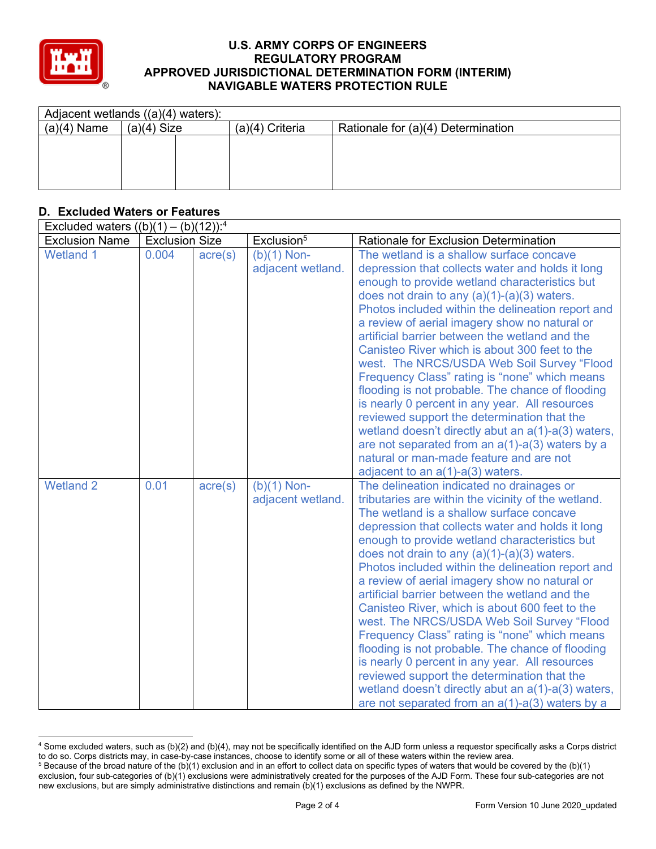

| Adjacent wetlands $((a)(4)$ waters): |               |  |                   |                                    |  |
|--------------------------------------|---------------|--|-------------------|------------------------------------|--|
| $(a)(4)$ Name                        | $(a)(4)$ Size |  | $(a)(4)$ Criteria | Rationale for (a)(4) Determination |  |
|                                      |               |  |                   |                                    |  |
|                                      |               |  |                   |                                    |  |
|                                      |               |  |                   |                                    |  |
|                                      |               |  |                   |                                    |  |

## **D. Excluded Waters or Features**

| Excluded waters $((b)(1) - (b)(12))$ : <sup>4</sup> |                       |                  |                                    |                                                                                                                                                                                                                                                                                                                                                                                                                                                                                                                                                                                                                                                                                                                                                                                                                                                                                 |  |
|-----------------------------------------------------|-----------------------|------------------|------------------------------------|---------------------------------------------------------------------------------------------------------------------------------------------------------------------------------------------------------------------------------------------------------------------------------------------------------------------------------------------------------------------------------------------------------------------------------------------------------------------------------------------------------------------------------------------------------------------------------------------------------------------------------------------------------------------------------------------------------------------------------------------------------------------------------------------------------------------------------------------------------------------------------|--|
| <b>Exclusion Name</b>                               | <b>Exclusion Size</b> |                  | Exclusion <sup>5</sup>             | <b>Rationale for Exclusion Determination</b>                                                                                                                                                                                                                                                                                                                                                                                                                                                                                                                                                                                                                                                                                                                                                                                                                                    |  |
| <b>Wetland 1</b>                                    | 0.004                 | $\text{acre}(s)$ | $(b)(1)$ Non-<br>adjacent wetland. | The wetland is a shallow surface concave<br>depression that collects water and holds it long<br>enough to provide wetland characteristics but<br>does not drain to any $(a)(1)-(a)(3)$ waters.<br>Photos included within the delineation report and<br>a review of aerial imagery show no natural or<br>artificial barrier between the wetland and the<br>Canisteo River which is about 300 feet to the<br>west. The NRCS/USDA Web Soil Survey "Flood<br>Frequency Class" rating is "none" which means<br>flooding is not probable. The chance of flooding<br>is nearly 0 percent in any year. All resources<br>reviewed support the determination that the<br>wetland doesn't directly abut an a(1)-a(3) waters,<br>are not separated from an $a(1)$ - $a(3)$ waters by a<br>natural or man-made feature and are not<br>adjacent to an $a(1)$ - $a(3)$ waters.                 |  |
| <b>Wetland 2</b>                                    | 0.01                  | $\text{acre}(s)$ | $(b)(1)$ Non-<br>adjacent wetland. | The delineation indicated no drainages or<br>tributaries are within the vicinity of the wetland.<br>The wetland is a shallow surface concave<br>depression that collects water and holds it long<br>enough to provide wetland characteristics but<br>does not drain to any $(a)(1)-(a)(3)$ waters.<br>Photos included within the delineation report and<br>a review of aerial imagery show no natural or<br>artificial barrier between the wetland and the<br>Canisteo River, which is about 600 feet to the<br>west. The NRCS/USDA Web Soil Survey "Flood<br>Frequency Class" rating is "none" which means<br>flooding is not probable. The chance of flooding<br>is nearly 0 percent in any year. All resources<br>reviewed support the determination that the<br>wetland doesn't directly abut an a(1)-a(3) waters,<br>are not separated from an $a(1)$ - $a(3)$ waters by a |  |

<sup>4</sup> Some excluded waters, such as (b)(2) and (b)(4), may not be specifically identified on the AJD form unless a requestor specifically asks a Corps district to do so. Corps districts may, in case-by-case instances, choose to identify some or all of these waters within the review area.

 $5$  Because of the broad nature of the (b)(1) exclusion and in an effort to collect data on specific types of waters that would be covered by the (b)(1) exclusion, four sub-categories of (b)(1) exclusions were administratively created for the purposes of the AJD Form. These four sub-categories are not new exclusions, but are simply administrative distinctions and remain (b)(1) exclusions as defined by the NWPR.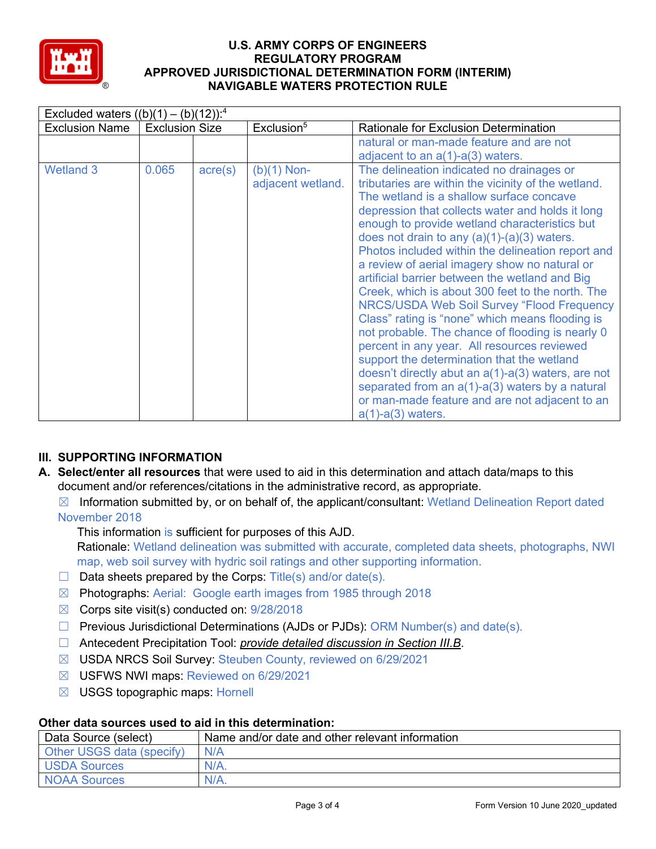

| Excluded waters $((b)(1) - (b)(12))$ : <sup>4</sup> |                       |                  |                                    |                                                                                                                                                                                                                                                                                                                                                                                                                                                                                                                                                                                                                                                                                                                                                                                                                                                                                                                                                                |  |  |
|-----------------------------------------------------|-----------------------|------------------|------------------------------------|----------------------------------------------------------------------------------------------------------------------------------------------------------------------------------------------------------------------------------------------------------------------------------------------------------------------------------------------------------------------------------------------------------------------------------------------------------------------------------------------------------------------------------------------------------------------------------------------------------------------------------------------------------------------------------------------------------------------------------------------------------------------------------------------------------------------------------------------------------------------------------------------------------------------------------------------------------------|--|--|
| <b>Exclusion Name</b>                               | <b>Exclusion Size</b> |                  | Exclusion <sup>5</sup>             | <b>Rationale for Exclusion Determination</b>                                                                                                                                                                                                                                                                                                                                                                                                                                                                                                                                                                                                                                                                                                                                                                                                                                                                                                                   |  |  |
|                                                     |                       |                  |                                    | natural or man-made feature and are not                                                                                                                                                                                                                                                                                                                                                                                                                                                                                                                                                                                                                                                                                                                                                                                                                                                                                                                        |  |  |
|                                                     |                       |                  |                                    | adjacent to an $a(1)$ - $a(3)$ waters.                                                                                                                                                                                                                                                                                                                                                                                                                                                                                                                                                                                                                                                                                                                                                                                                                                                                                                                         |  |  |
| <b>Wetland 3</b>                                    | 0.065                 | $\text{acre}(s)$ | $(b)(1)$ Non-<br>adjacent wetland. | The delineation indicated no drainages or<br>tributaries are within the vicinity of the wetland.<br>The wetland is a shallow surface concave<br>depression that collects water and holds it long<br>enough to provide wetland characteristics but<br>does not drain to any $(a)(1)-(a)(3)$ waters.<br>Photos included within the delineation report and<br>a review of aerial imagery show no natural or<br>artificial barrier between the wetland and Big<br>Creek, which is about 300 feet to the north. The<br>NRCS/USDA Web Soil Survey "Flood Frequency<br>Class" rating is "none" which means flooding is<br>not probable. The chance of flooding is nearly 0<br>percent in any year. All resources reviewed<br>support the determination that the wetland<br>doesn't directly abut an $a(1)$ - $a(3)$ waters, are not<br>separated from an $a(1)$ - $a(3)$ waters by a natural<br>or man-made feature and are not adjacent to an<br>$a(1)-a(3)$ waters. |  |  |

# **III. SUPPORTING INFORMATION**

- **A. Select/enter all resources** that were used to aid in this determination and attach data/maps to this document and/or references/citations in the administrative record, as appropriate.
	- $\boxtimes$  Information submitted by, or on behalf of, the applicant/consultant: Wetland Delineation Report dated November 2018

This information is sufficient for purposes of this AJD.

Rationale: Wetland delineation was submitted with accurate, completed data sheets, photographs, NWI map, web soil survey with hydric soil ratings and other supporting information.

- $\Box$  Data sheets prepared by the Corps: Title(s) and/or date(s).
- ☒ Photographs: Aerial: Google earth images from 1985 through 2018
- $\boxtimes$  Corps site visit(s) conducted on: 9/28/2018
- ☐ Previous Jurisdictional Determinations (AJDs or PJDs): ORM Number(s) and date(s).
- ☐ Antecedent Precipitation Tool: *provide detailed discussion in Section III.B*.
- ☒ USDA NRCS Soil Survey: Steuben County, reviewed on 6/29/2021
- ☒ USFWS NWI maps: Reviewed on 6/29/2021
- $\boxtimes$  USGS topographic maps: Hornell

#### **Other data sources used to aid in this determination:**

| Data Source (select)      | Name and/or date and other relevant information |
|---------------------------|-------------------------------------------------|
| Other USGS data (specify) | N/A                                             |
| USDA Sources              | $N/A$ .                                         |
| NOAA Sources              | $N/A$ .                                         |